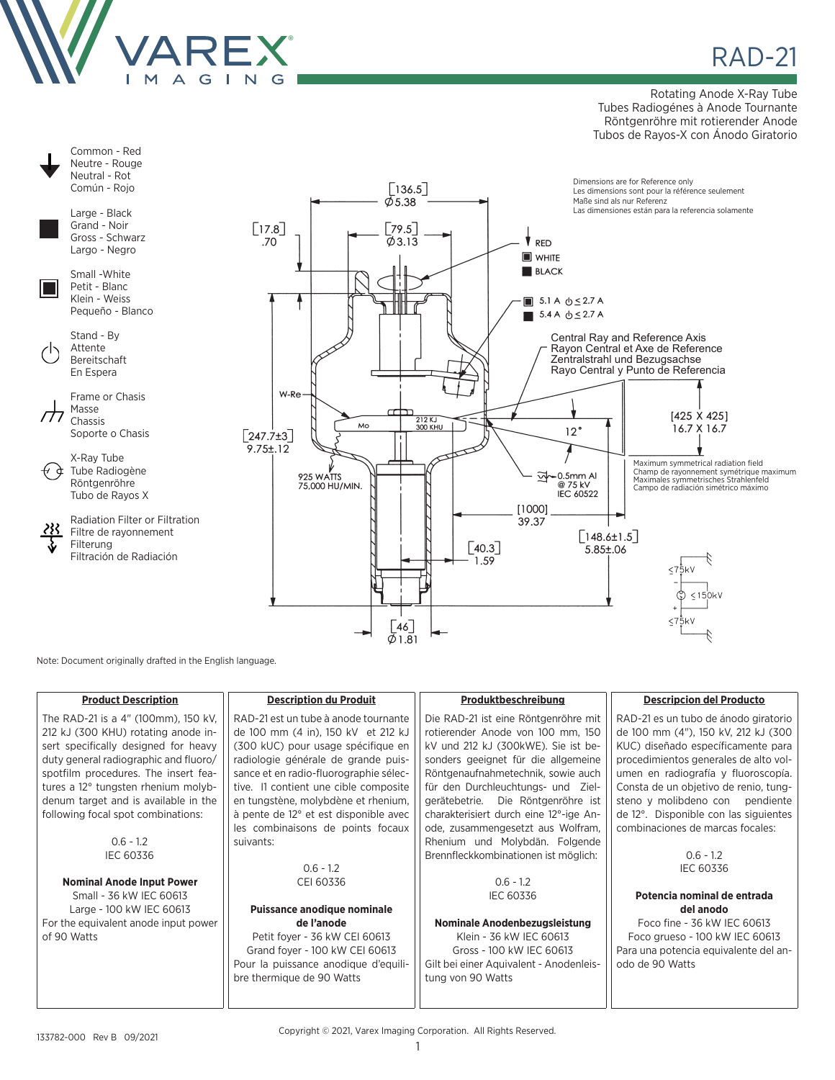

**RAD-21** 

Rotating Anode X-Ray Tube Tubes Radiogénes à Anode Tournante Röntgenröhre mit rotierender Anode Tubos de Rayos-X con Ánodo Giratorio



Note: Document originally drafted in the English language.

| <b>Product Description</b>                                                                                                                                                                                                                 | <b>Description du Produit</b>                                                                                                                                                                                                              | Produktbeschreibung                                                                                                                                                                                                                 | <b>Descripcion del Producto</b>                                                                                                                                                                                                            |
|--------------------------------------------------------------------------------------------------------------------------------------------------------------------------------------------------------------------------------------------|--------------------------------------------------------------------------------------------------------------------------------------------------------------------------------------------------------------------------------------------|-------------------------------------------------------------------------------------------------------------------------------------------------------------------------------------------------------------------------------------|--------------------------------------------------------------------------------------------------------------------------------------------------------------------------------------------------------------------------------------------|
| The RAD-21 is a 4" (100mm), 150 kV,<br>212 kJ (300 KHU) rotating anode in-<br>sert specifically designed for heavy<br>duty general radiographic and fluoro/<br>spotfilm procedures. The insert fea-<br>tures a 12° tungsten rhenium molyb- | RAD-21 est un tube à anode tournante<br>de 100 mm (4 in), 150 kV et 212 kJ<br>(300 kUC) pour usage spécifique en<br>radiologie générale de grande puis-<br>sance et en radio-fluorographie sélec-<br>tive. I1 contient une cible composite | Die RAD-21 ist eine Röntgenröhre mit<br>rotierender Anode von 100 mm, 150<br>kV und 212 kJ (300kWE). Sie ist be-<br>sonders geeignet für die allgemeine<br>Röntgenaufnahmetechnik, sowie auch<br>für den Durchleuchtungs- und Ziel- | RAD-21 es un tubo de ánodo giratorio<br>de 100 mm (4"), 150 kV, 212 kJ (300<br>KUC) diseñado específicamente para<br>procedimientos generales de alto vol-<br>umen en radiografía y fluoroscopía.<br>Consta de un objetivo de renio, tung- |
| denum target and is available in the<br>following focal spot combinations:                                                                                                                                                                 | en tungstène, molybdène et rhenium,<br>à pente de 12° et est disponible avec<br>les combinaisons de points focaux                                                                                                                          | gerätebetrie. Die Röntgenröhre ist<br>charakterisiert durch eine 12°-ige An-<br>ode, zusammengesetzt aus Wolfram,                                                                                                                   | steno y molibdeno con pendiente<br>de 12°. Disponible con las siguientes<br>combinaciones de marcas focales:                                                                                                                               |
| $0.6 - 1.2$                                                                                                                                                                                                                                | suivants:                                                                                                                                                                                                                                  | Rhenium und Molybdän. Folgende                                                                                                                                                                                                      |                                                                                                                                                                                                                                            |
| <b>IEC 60336</b>                                                                                                                                                                                                                           |                                                                                                                                                                                                                                            | Brennfleckkombinationen ist möglich:                                                                                                                                                                                                | $0.6 - 1.2$                                                                                                                                                                                                                                |
|                                                                                                                                                                                                                                            | $0.6 - 1.2$                                                                                                                                                                                                                                |                                                                                                                                                                                                                                     | <b>IEC 60336</b>                                                                                                                                                                                                                           |
| <b>Nominal Anode Input Power</b>                                                                                                                                                                                                           | CEI 60336                                                                                                                                                                                                                                  | $0.6 - 1.2$                                                                                                                                                                                                                         |                                                                                                                                                                                                                                            |
| Small - 36 kW IEC 60613                                                                                                                                                                                                                    |                                                                                                                                                                                                                                            | <b>IEC 60336</b>                                                                                                                                                                                                                    | Potencia nominal de entrada                                                                                                                                                                                                                |
| Large - 100 kW IEC 60613                                                                                                                                                                                                                   | Puissance anodique nominale                                                                                                                                                                                                                |                                                                                                                                                                                                                                     | del anodo                                                                                                                                                                                                                                  |
| For the equivalent anode input power                                                                                                                                                                                                       | de l'anode                                                                                                                                                                                                                                 | Nominale Anodenbezugsleistung                                                                                                                                                                                                       | Foco fine - 36 kW IEC 60613                                                                                                                                                                                                                |
| of 90 Watts                                                                                                                                                                                                                                | Petit foyer - 36 kW CEI 60613<br>Grand foyer - 100 kW CEI 60613<br>Pour la puissance anodique d'equili-                                                                                                                                    | Klein - 36 kW IEC 60613<br>Gross - 100 kW IEC 60613<br>Gilt bei einer Aquivalent - Anodenleis-                                                                                                                                      | Foco grueso - 100 kW IEC 60613<br>Para una potencia equivalente del an-<br>odo de 90 Watts                                                                                                                                                 |
|                                                                                                                                                                                                                                            | bre thermique de 90 Watts                                                                                                                                                                                                                  | tung von 90 Watts                                                                                                                                                                                                                   |                                                                                                                                                                                                                                            |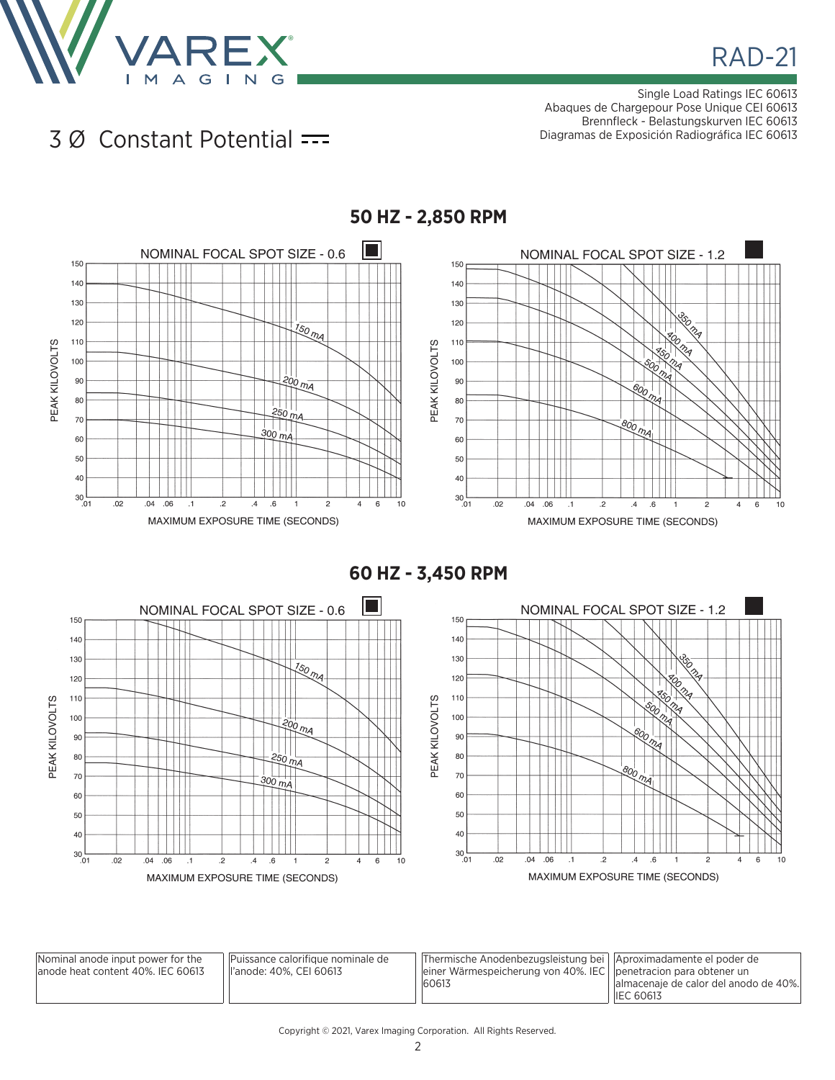

Single Load Ratings IEC 60613 Abaques de Chargepour Pose Unique CEI 60613 Brennfleck - Belastungskurven IEC 60613 Diagramas de Exposición Radiográfica IEC 60613

## 3 Ø Constant Potential



**50 HZ - 2,850 RPM**





| Nominal anode input power for the<br>lanode heat content 40%. IEC 60613 | Puissance calorifique nominale de<br>ll'anode: 40%. CEI 60613 | Thermische Anodenbezugsleistung bei   Aproximadamente el poder de<br>einer Wärmespeicherung von 40%. IEC    penetracion para obtener un<br>60613 | lalmacenaje de calor del anodo de 40%.<br><b>IEC 60613</b> |
|-------------------------------------------------------------------------|---------------------------------------------------------------|--------------------------------------------------------------------------------------------------------------------------------------------------|------------------------------------------------------------|
|-------------------------------------------------------------------------|---------------------------------------------------------------|--------------------------------------------------------------------------------------------------------------------------------------------------|------------------------------------------------------------|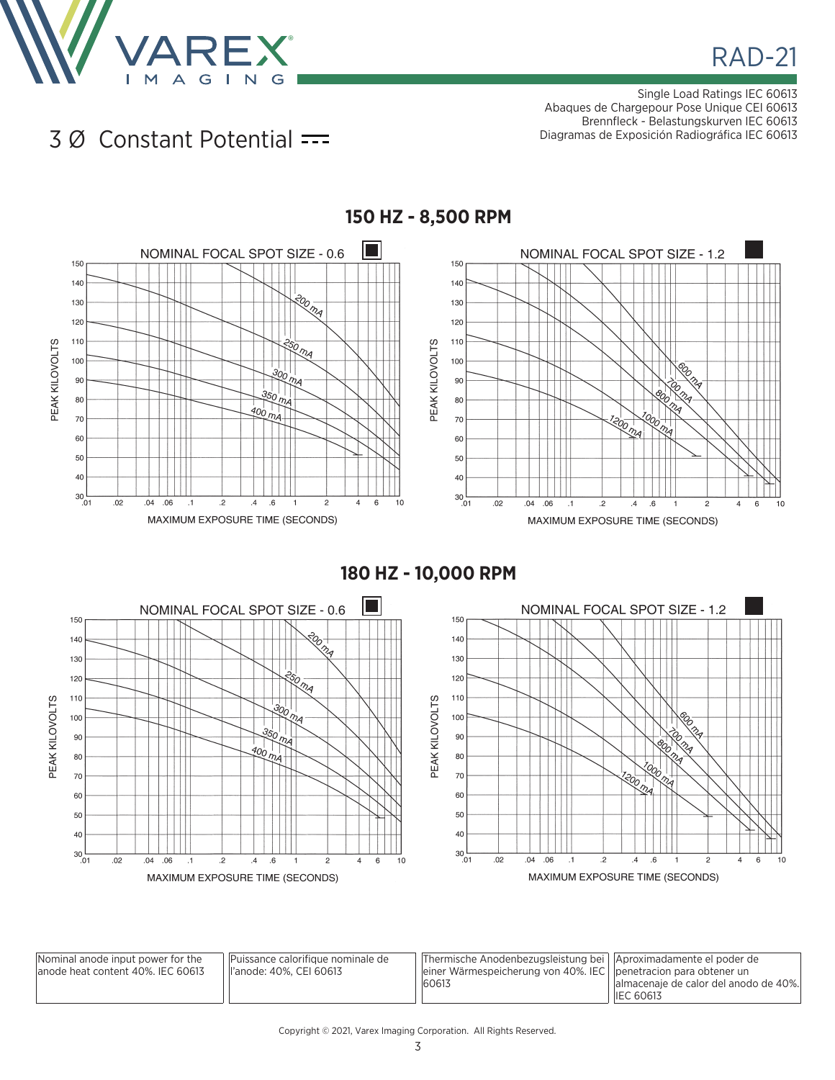

Single Load Ratings IEC 60613 Abaques de Chargepour Pose Unique CEI 60613 Brennfleck - Belastungskurven IEC 60613 Diagramas de Exposición Radiográfica IEC 60613

## 3 Ø Constant Potential



**150 HZ - 8,500 RPM**

**180 HZ - 10,000 RPM**



| Nominal anode input power for the<br>lanode heat content 40%. IEC 60613 | lPuissance calorifique nominale de<br>ll'anode: 40%. CEI 60613 | Thermische Anodenbezugsleistung bei   Aproximadamente el poder de<br>einer Wärmespeicherung von 40%. IEC $\vert$ penetracion para obtener un<br>60613 | lalmacenaje de calor del anodo de 40%. |
|-------------------------------------------------------------------------|----------------------------------------------------------------|-------------------------------------------------------------------------------------------------------------------------------------------------------|----------------------------------------|
|                                                                         |                                                                |                                                                                                                                                       | <b>IEC 60613</b>                       |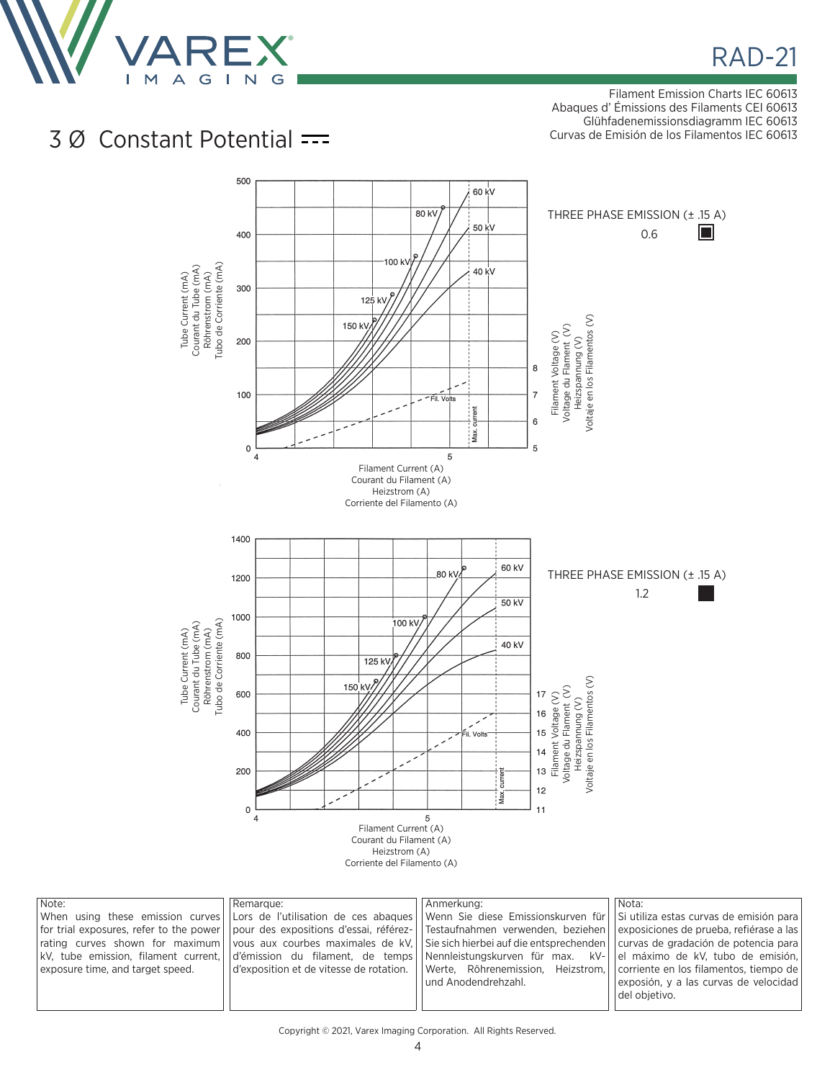

Filament Emission Charts IEC 60613 Abaques d' Émissions des Filaments CEI 60613 Glühfadenemissionsdiagramm IEC 60613 Curvas de Emisión de los Filamentos IEC 60613

## 3 Ø Constant Potential



| Note:                            | Remarque:                                                                                                                                      | Anmerkuna:                                                                                                                                                 | Nota:                                   |
|----------------------------------|------------------------------------------------------------------------------------------------------------------------------------------------|------------------------------------------------------------------------------------------------------------------------------------------------------------|-----------------------------------------|
|                                  | When using these emission curves LC or de l'utilisation de ces abaques Venn Sie diese Emissionskurven für                                      |                                                                                                                                                            | Si utiliza estas curvas de emisión para |
|                                  | for trial exposures, refer to the power   pour des expositions d'essai, référez-   Testaufnahmen verwenden, beziehen                           |                                                                                                                                                            | exposiciones de prueba, refiérase a las |
|                                  | rating curves shown for maximum vous aux courbes maximales de kV. Sie sich hierbei auf die entsprechenden curvas de gradación de potencia para |                                                                                                                                                            |                                         |
|                                  | kV, tube emission, filament current, d'emission du filament, de temps Nennleistungskurven für max. kV- de maximo de kV, tubo de emision,       |                                                                                                                                                            |                                         |
| exposure time, and target speed. |                                                                                                                                                | $\vert$ d'exposition et de vitesse de rotation. $\vert\vert$ Werte, Röhrenemission, Heizstrom, $\vert\vert$ corriente en los filamentos, tiempo de $\vert$ |                                         |
|                                  |                                                                                                                                                | l und Anodendrehzahl.                                                                                                                                      | exposión, y a las curvas de velocidad   |
|                                  |                                                                                                                                                |                                                                                                                                                            | del obietivo.                           |
|                                  |                                                                                                                                                |                                                                                                                                                            |                                         |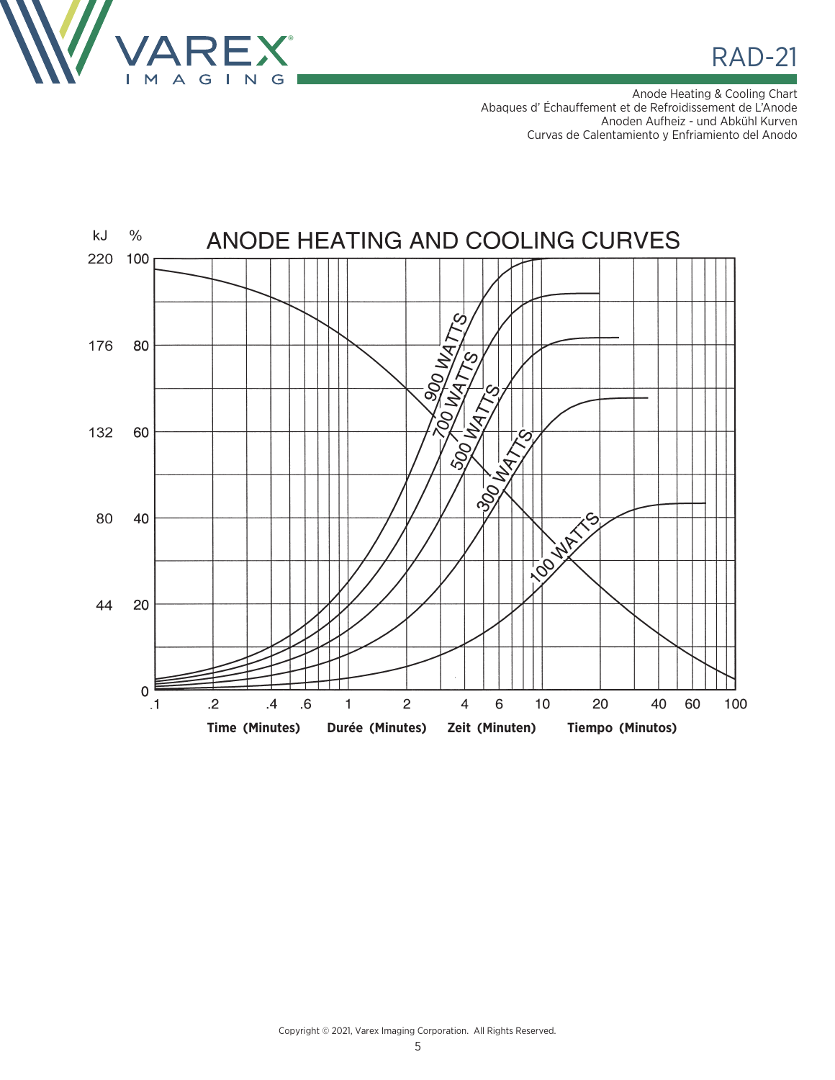

**RAD-21** 

Anode Heating & Cooling Chart Abaques d' Échauffement et de Refroidissement de L'Anode Anoden Aufheiz - und Abkühl Kurven Curvas de Calentamiento y Enfriamiento del Anodo